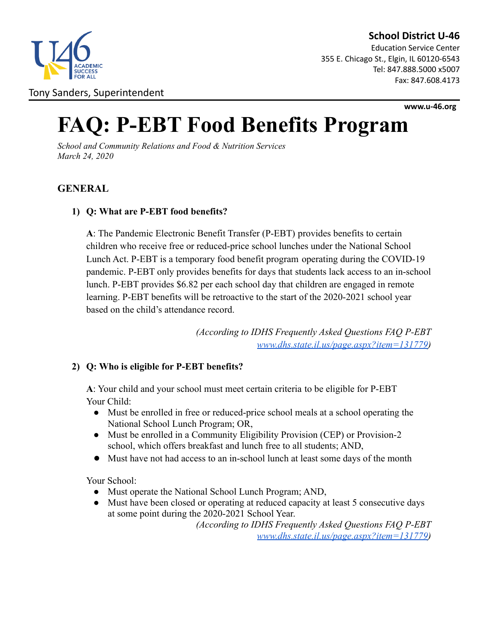Education Service Center 355 E. Chicago St., Elgin, IL 60120-6543 Tel: 847.888.5000 x5007 Fax: 847.608.4173

Tony Sanders, Superintendent

**www.u-46.org**

# **FAQ: P-EBT Food Benefits Program**

*School and Community Relations and Food & Nutrition Services March 24, 2020*

#### **GENERAL**

#### **1) Q: What are P-EBT food benefits?**

**A**: The Pandemic Electronic Benefit Transfer (P-EBT) provides benefits to certain children who receive free or reduced-price school lunches under the National School Lunch Act. P-EBT is a temporary food benefit program operating during the COVID-19 pandemic. P-EBT only provides benefits for days that students lack access to an in-school lunch. P-EBT provides \$6.82 per each school day that children are engaged in remote learning. P-EBT benefits will be retroactive to the start of the 2020-2021 school year based on the child's attendance record.

> *(According to IDHS Frequently Asked Questions FAQ P-EBT [www.dhs.state.il.us/page.aspx?item=131779](https://www.dhs.state.il.us/page.aspx?item=131779))*

#### **2) Q: Who is eligible for P-EBT benefits?**

**A**: Your child and your school must meet certain criteria to be eligible for P-EBT Your Child:

- Must be enrolled in free or reduced-price school meals at a school operating the National School Lunch Program; OR,
- Must be enrolled in a Community Eligibility Provision (CEP) or Provision-2 school, which offers breakfast and lunch free to all students; AND,
- Must have not had access to an in-school lunch at least some days of the month

Your School:

- Must operate the National School Lunch Program; AND,
- Must have been closed or operating at reduced capacity at least 5 consecutive days at some point during the 2020-2021 School Year.

*(According to IDHS Frequently Asked Questions FAQ P-EBT [www.dhs.state.il.us/page.aspx?item=131779](https://www.dhs.state.il.us/page.aspx?item=131779))*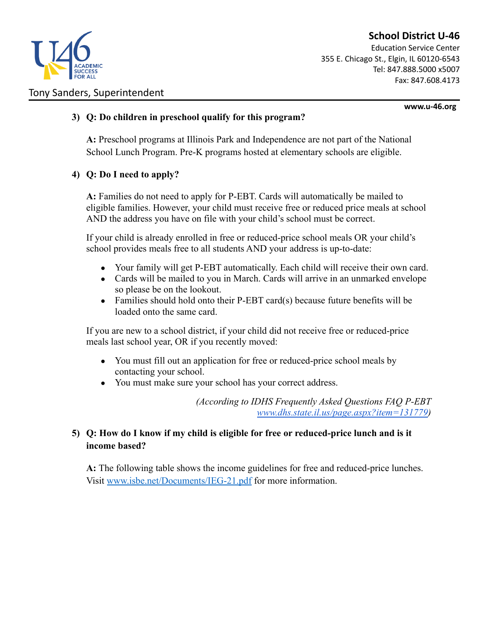



Education Service Center 355 E. Chicago St., Elgin, IL 60120-6543 Tel: 847.888.5000 x5007 Fax: 847.608.4173

**www.u-46.org**

#### **3) Q: Do children in preschool qualify for this program?**

**A:** Preschool programs at Illinois Park and Independence are not part of the National School Lunch Program. Pre-K programs hosted at elementary schools are eligible.

#### **4) Q: Do I need to apply?**

**A:** Families do not need to apply for P-EBT. Cards will automatically be mailed to eligible families. However, your child must receive free or reduced price meals at school AND the address you have on file with your child's school must be correct.

If your child is already enrolled in free or reduced-price school meals OR your child's school provides meals free to all students AND your address is up-to-date:

- Your family will get P-EBT automatically. Each child will receive their own card.
- Cards will be mailed to you in March. Cards will arrive in an unmarked envelope so please be on the lookout.
- Families should hold onto their P-EBT card(s) because future benefits will be loaded onto the same card.

If you are new to a school district, if your child did not receive free or reduced-price meals last school year, OR if you recently moved:

- You must fill out an application for free or reduced-price school meals by contacting your school.
- You must make sure your school has your correct address.

*(According to IDHS Frequently Asked Questions FAQ P-EBT [www.dhs.state.il.us/page.aspx?item=131779](https://www.dhs.state.il.us/page.aspx?item=131779))*

#### **5) Q: How do I know if my child is eligible for free or reduced-price lunch and is it income based?**

**A:** The following table shows the income guidelines for free and reduced-price lunches. Visit [www.isbe.net/Documents/IEG-21.pdf](https://www.isbe.net/Documents/IEG-21.pdf) for more information.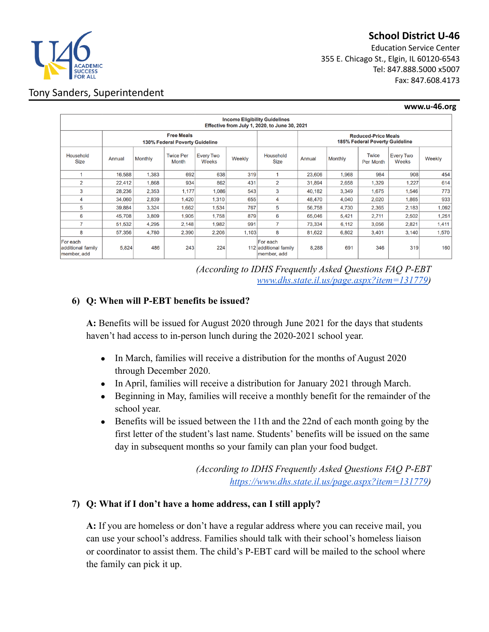**www.u-46.org**

Education Service Center 355 E. Chicago St., Elgin, IL 60120-6543 Tel: 847.888.5000 x5007 Fax: 847.608.4173

# Tony Sanders, Superintendent

| <b>Income Eligibility Guidelines</b><br>Effective from July 1, 2020, to June 30, 2021 |                                                     |                |                           |                           |        |                                                              |        |                |                           |                           |        |  |
|---------------------------------------------------------------------------------------|-----------------------------------------------------|----------------|---------------------------|---------------------------|--------|--------------------------------------------------------------|--------|----------------|---------------------------|---------------------------|--------|--|
|                                                                                       | <b>Free Meals</b><br>130% Federal Poverty Guideline |                |                           |                           |        | <b>Reduced-Price Meals</b><br>185% Federal Poverty Guideline |        |                |                           |                           |        |  |
| Household<br><b>Size</b>                                                              | Annual                                              | <b>Monthly</b> | <b>Twice Per</b><br>Month | <b>Every Two</b><br>Weeks | Weekly | Household<br><b>Size</b>                                     | Annual | <b>Monthly</b> | <b>Twice</b><br>Per Month | <b>Every Two</b><br>Weeks | Weekly |  |
| 1                                                                                     | 16,588                                              | 1,383          | 692                       | 638                       | 319    | 1                                                            | 23,606 | 1,968          | 984                       | 908                       | 454    |  |
| 2                                                                                     | 22,412                                              | 1,868          | 934                       | 862                       | 431    | 2                                                            | 31,894 | 2,658          | 1,329                     | 1,227                     | 614    |  |
| 3                                                                                     | 28,236                                              | 2,353          | 1,177                     | 1,086                     | 543    | 3                                                            | 40,182 | 3,349          | 1,675                     | 1,546                     | 773    |  |
| 4                                                                                     | 34,060                                              | 2,839          | 1,420                     | 1,310                     | 655    | 4                                                            | 48,470 | 4,040          | 2,020                     | 1,865                     | 933    |  |
| 5                                                                                     | 39,884                                              | 3,324          | 1,662                     | 1,534                     | 767    | 5                                                            | 56,758 | 4,730          | 2,365                     | 2,183                     | 1,092  |  |
| 6                                                                                     | 45,708                                              | 3,809          | 1,905                     | 1,758                     | 879    | 6                                                            | 65,046 | 5,421          | 2,711                     | 2,502                     | 1,251  |  |
|                                                                                       | 51,532                                              | 4,295          | 2,148                     | 1,982                     | 991    | 7                                                            | 73,334 | 6,112          | 3,056                     | 2,821                     | 1,411  |  |
| 8                                                                                     | 57.356                                              | 4,780          | 2.390                     | 2.206                     | 1.103  | 8                                                            | 81,622 | 6.802          | 3.401                     | 3,140                     | 1,570  |  |
| or each<br>dditional family<br>iember, add                                            | 5,824                                               | 486            | 243                       | 224                       |        | <b>For each</b><br>112 additional family<br>member, add      | 8,288  | 691            | 346                       | 319                       | 160    |  |

*(According to IDHS Frequently Asked Questions FAQ P-EBT [www.dhs.state.il.us/page.aspx?item=131779](https://www.dhs.state.il.us/page.aspx?item=131779))*

#### **6) Q: When will P-EBT benefits be issued?**

**A:** Benefits will be issued for August 2020 through June 2021 for the days that students haven't had access to in-person lunch during the 2020-2021 school year.

- In March, families will receive a distribution for the months of August 2020 through December 2020.
- In April, families will receive a distribution for January 2021 through March.
- Beginning in May, families will receive a monthly benefit for the remainder of the school year.
- Benefits will be issued between the 11th and the 22nd of each month going by the first letter of the student's last name. Students' benefits will be issued on the same day in subsequent months so your family can plan your food budget.

*(According to IDHS Frequently Asked Questions FAQ P-EBT <https://www.dhs.state.il.us/page.aspx?item=131779>)*

# **7) Q: What if I don't have a home address, can I still apply?**

**A:** If you are homeless or don't have a regular address where you can receive mail, you can use your school's address. Families should talk with their school's homeless liaison or coordinator to assist them. The child's P-EBT card will be mailed to the school where the family can pick it up.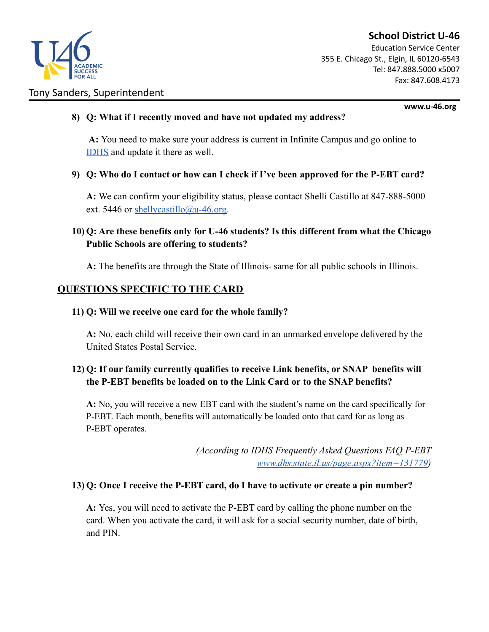

Education Service Center 355 E. Chicago St., Elgin, IL 60120-6543 Tel: 847.888.5000 x5007 Fax: 847.608.4173

**www.u-46.org**

#### **8) Q: What if I recently moved and have not updated my address?**

**A:** You need to make sure your address is current in Infinite Campus and go online to [IDHS](https://www.dhs.state.il.us/page.aspx?item=46873) and update it there as well.

#### **9) Q: Who do I contact or how can I check if I've been approved for the P-EBT card?**

**A:** We can confirm your eligibility status, please contact Shelli Castillo at 847-888-5000 ext. 5446 or [shellycastillo@u-46.org.](mailto:shellycastillo@u-46.org)

### **10) Q: Are these benefits only for U-46 students? Is this different from what the Chicago Public Schools are offering to students?**

**A:** The benefits are through the State of Illinois- same for all public schools in Illinois.

#### **QUESTIONS SPECIFIC TO THE CARD**

#### **11) Q: Will we receive one card for the whole family?**

**A:** No, each child will receive their own card in an unmarked envelope delivered by the United States Postal Service.

#### **12) Q: If our family currently qualifies to receive Link benefits, or SNAP benefits will the P-EBT benefits be loaded on to the Link Card or to the SNAP benefits?**

**A:** No, you will receive a new EBT card with the student's name on the card specifically for P-EBT. Each month, benefits will automatically be loaded onto that card for as long as P-EBT operates.

> *(According to IDHS Frequently Asked Questions FAQ P-EBT [www.dhs.state.il.us/page.aspx?item=131779](https://www.dhs.state.il.us/page.aspx?item=131779))*

#### **13) Q: Once I receive the P-EBT card, do I have to activate or create a pin number?**

**A:** Yes, you will need to activate the P-EBT card by calling the phone number on the card. When you activate the card, it will ask for a social security number, date of birth, and PIN.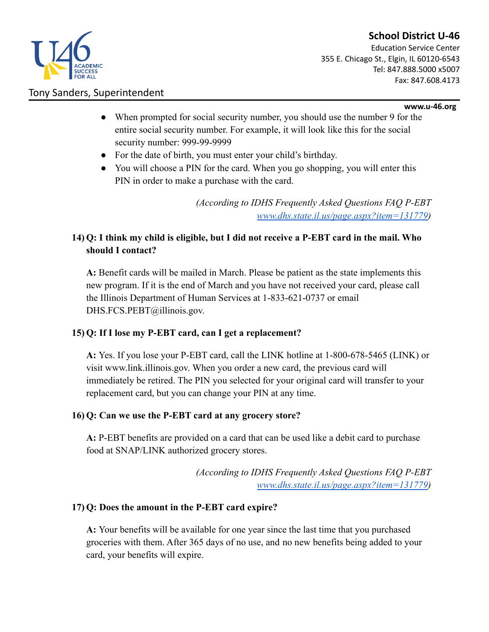

#### Tony Sanders, Superintendent

Education Service Center 355 E. Chicago St., Elgin, IL 60120-6543 Tel: 847.888.5000 x5007 Fax: 847.608.4173

#### **www.u-46.org**

- When prompted for social security number, you should use the number 9 for the entire social security number. For example, it will look like this for the social security number: 999-99-9999
- For the date of birth, you must enter your child's birthday.
- You will choose a PIN for the card. When you go shopping, you will enter this PIN in order to make a purchase with the card.

*(According to IDHS Frequently Asked Questions FAQ P-EBT [www.dhs.state.il.us/page.aspx?item=131779](https://www.dhs.state.il.us/page.aspx?item=131779))*

# **14) Q: I think my child is eligible, but I did not receive a P-EBT card in the mail. Who should I contact?**

**A:** Benefit cards will be mailed in March. Please be patient as the state implements this new program. If it is the end of March and you have not received your card, please call the Illinois Department of Human Services at 1-833-621-0737 or email DHS.FCS.PEBT@illinois.gov.

#### **15) Q: If I lose my P-EBT card, can I get a replacement?**

**A:** Yes. If you lose your P-EBT card, call the LINK hotline at 1-800-678-5465 (LINK) or visit www.link.illinois.gov. When you order a new card, the previous card will immediately be retired. The PIN you selected for your original card will transfer to your replacement card, but you can change your PIN at any time.

#### **16) Q: Can we use the P-EBT card at any grocery store?**

**A:** P-EBT benefits are provided on a card that can be used like a debit card to purchase food at SNAP/LINK authorized grocery stores.

> *(According to IDHS Frequently Asked Questions FAQ P-EBT [www.dhs.state.il.us/page.aspx?item=131779](https://www.dhs.state.il.us/page.aspx?item=131779))*

#### **17) Q: Does the amount in the P-EBT card expire?**

**A:** Your benefits will be available for one year since the last time that you purchased groceries with them. After 365 days of no use, and no new benefits being added to your card, your benefits will expire.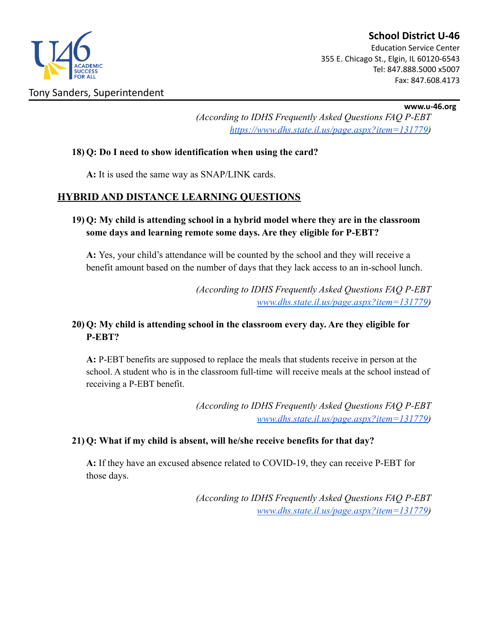

Education Service Center 355 E. Chicago St., Elgin, IL 60120-6543 Tel: 847.888.5000 x5007 Fax: 847.608.4173

#### **www.u-46.org**

*(According to IDHS Frequently Asked Questions FAQ P-EBT <https://www.dhs.state.il.us/page.aspx?item=131779>)*

#### **18) Q: Do I need to show identification when using the card?**

**A:** It is used the same way as SNAP/LINK cards.

# **HYBRID AND DISTANCE LEARNING QUESTIONS**

### **19) Q: My child is attending school in a hybrid model where they are in the classroom some days and learning remote some days. Are they eligible for P-EBT?**

**A:** Yes, your child's attendance will be counted by the school and they will receive a benefit amount based on the number of days that they lack access to an in-school lunch.

> *(According to IDHS Frequently Asked Questions FAQ P-EBT [www.dhs.state.il.us/page.aspx?item=131779](https://www.dhs.state.il.us/page.aspx?item=131779))*

# **20) Q: My child is attending school in the classroom every day. Are they eligible for P-EBT?**

**A:** P-EBT benefits are supposed to replace the meals that students receive in person at the school. A student who is in the classroom full-time will receive meals at the school instead of receiving a P-EBT benefit.

> *(According to IDHS Frequently Asked Questions FAQ P-EBT [www.dhs.state.il.us/page.aspx?item=131779](https://www.dhs.state.il.us/page.aspx?item=131779))*

#### **21) Q: What if my child is absent, will he/she receive benefits for that day?**

**A:** If they have an excused absence related to COVID-19, they can receive P-EBT for those days.

> *(According to IDHS Frequently Asked Questions FAQ P-EBT [www.dhs.state.il.us/page.aspx?item=131779](https://www.dhs.state.il.us/page.aspx?item=131779))*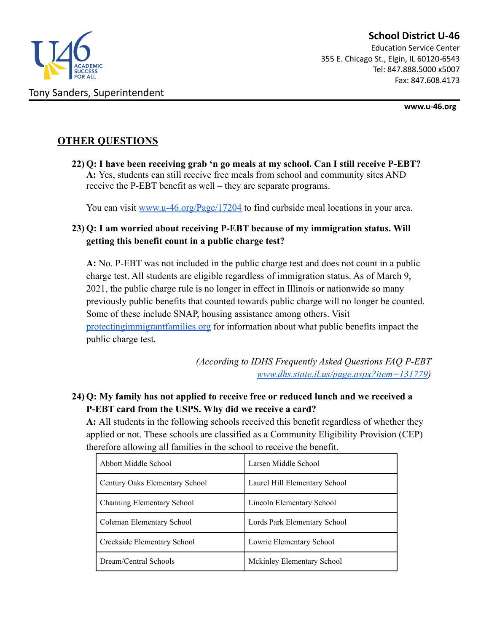



**www.u-46.org**

# **OTHER QUESTIONS**

**22) Q: I have been receiving grab 'n go meals at my school. Can I still receive P-EBT? A:** Yes, students can still receive free meals from school and community sites AND receive the P-EBT benefit as well – they are separate programs.

You can visit [www.u-46.org/Page/17204](https://www.u-46.org/Page/17204) to find curbside meal locations in your area.

# **23) Q: I am worried about receiving P-EBT because of my immigration status. Will getting this benefit count in a public charge test?**

**A:** No. P-EBT was not included in the public charge test and does not count in a public charge test. All students are eligible regardless of immigration status. As of March 9, 2021, the public charge rule is no longer in effect in Illinois or nationwide so many previously public benefits that counted towards public charge will no longer be counted. Some of these include SNAP, housing assistance among others. Visit [protectingimmigrantfamilies.org](https://protectingimmigrantfamilies.org) for information about what public benefits impact the public charge test.

> *(According to IDHS Frequently Asked Questions FAQ P-EBT [www.dhs.state.il.us/page.aspx?item=131779](https://www.dhs.state.il.us/page.aspx?item=131779))*

**24) Q: My family has not applied to receive free or reduced lunch and we received a P-EBT card from the USPS. Why did we receive a card?**

**A:** All students in the following schools received this benefit regardless of whether they applied or not. These schools are classified as a Community Eligibility Provision (CEP) therefore allowing all families in the school to receive the benefit.

| Abbott Middle School           | Larsen Middle School          |
|--------------------------------|-------------------------------|
| Century Oaks Elementary School | Laurel Hill Elementary School |
| Channing Elementary School     | Lincoln Elementary School     |
| Coleman Elementary School      | Lords Park Elementary School  |
| Creekside Elementary School    | Lowrie Elementary School      |
| Dream/Central Schools          | Mckinley Elementary School    |